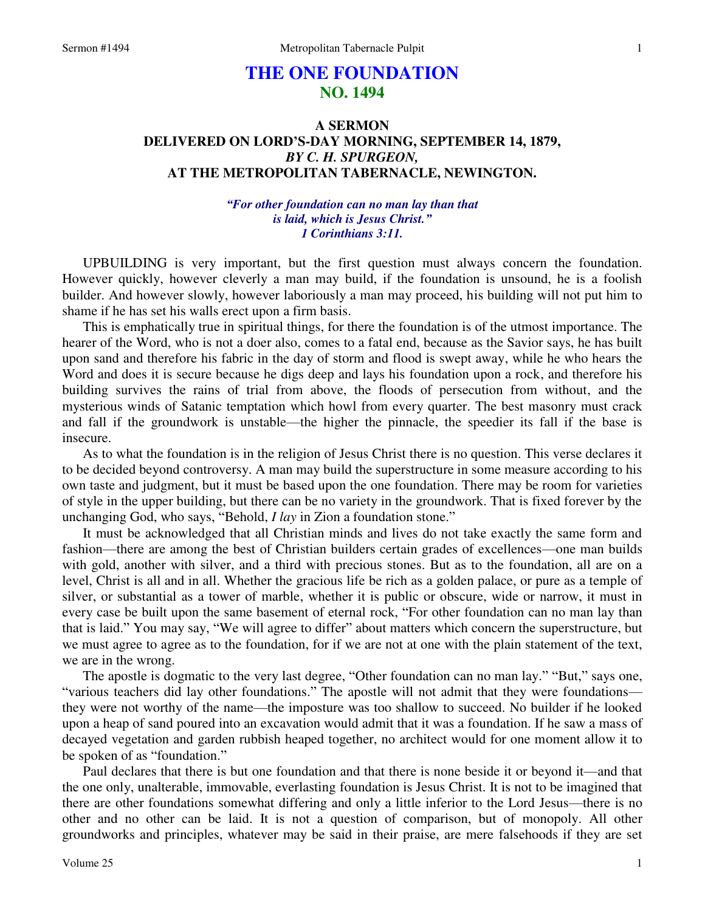# **THE ONE FOUNDATION NO. 1494**

## **A SERMON DELIVERED ON LORD'S-DAY MORNING, SEPTEMBER 14, 1879,**  *BY C. H. SPURGEON,*  **AT THE METROPOLITAN TABERNACLE, NEWINGTON.**

## *"For other foundation can no man lay than that is laid, which is Jesus Christ." 1 Corinthians 3:11.*

UPBUILDING is very important, but the first question must always concern the foundation. However quickly, however cleverly a man may build, if the foundation is unsound, he is a foolish builder. And however slowly, however laboriously a man may proceed, his building will not put him to shame if he has set his walls erect upon a firm basis.

 This is emphatically true in spiritual things, for there the foundation is of the utmost importance. The hearer of the Word, who is not a doer also, comes to a fatal end, because as the Savior says, he has built upon sand and therefore his fabric in the day of storm and flood is swept away, while he who hears the Word and does it is secure because he digs deep and lays his foundation upon a rock, and therefore his building survives the rains of trial from above, the floods of persecution from without, and the mysterious winds of Satanic temptation which howl from every quarter. The best masonry must crack and fall if the groundwork is unstable—the higher the pinnacle, the speedier its fall if the base is insecure.

 As to what the foundation is in the religion of Jesus Christ there is no question. This verse declares it to be decided beyond controversy. A man may build the superstructure in some measure according to his own taste and judgment, but it must be based upon the one foundation. There may be room for varieties of style in the upper building, but there can be no variety in the groundwork. That is fixed forever by the unchanging God, who says, "Behold, *I lay* in Zion a foundation stone."

 It must be acknowledged that all Christian minds and lives do not take exactly the same form and fashion—there are among the best of Christian builders certain grades of excellences—one man builds with gold, another with silver, and a third with precious stones. But as to the foundation, all are on a level, Christ is all and in all. Whether the gracious life be rich as a golden palace, or pure as a temple of silver, or substantial as a tower of marble, whether it is public or obscure, wide or narrow, it must in every case be built upon the same basement of eternal rock, "For other foundation can no man lay than that is laid." You may say, "We will agree to differ" about matters which concern the superstructure, but we must agree to agree as to the foundation, for if we are not at one with the plain statement of the text, we are in the wrong.

 The apostle is dogmatic to the very last degree, "Other foundation can no man lay." "But," says one, "various teachers did lay other foundations." The apostle will not admit that they were foundations they were not worthy of the name—the imposture was too shallow to succeed. No builder if he looked upon a heap of sand poured into an excavation would admit that it was a foundation. If he saw a mass of decayed vegetation and garden rubbish heaped together, no architect would for one moment allow it to be spoken of as "foundation."

 Paul declares that there is but one foundation and that there is none beside it or beyond it—and that the one only, unalterable, immovable, everlasting foundation is Jesus Christ. It is not to be imagined that there are other foundations somewhat differing and only a little inferior to the Lord Jesus—there is no other and no other can be laid. It is not a question of comparison, but of monopoly. All other groundworks and principles, whatever may be said in their praise, are mere falsehoods if they are set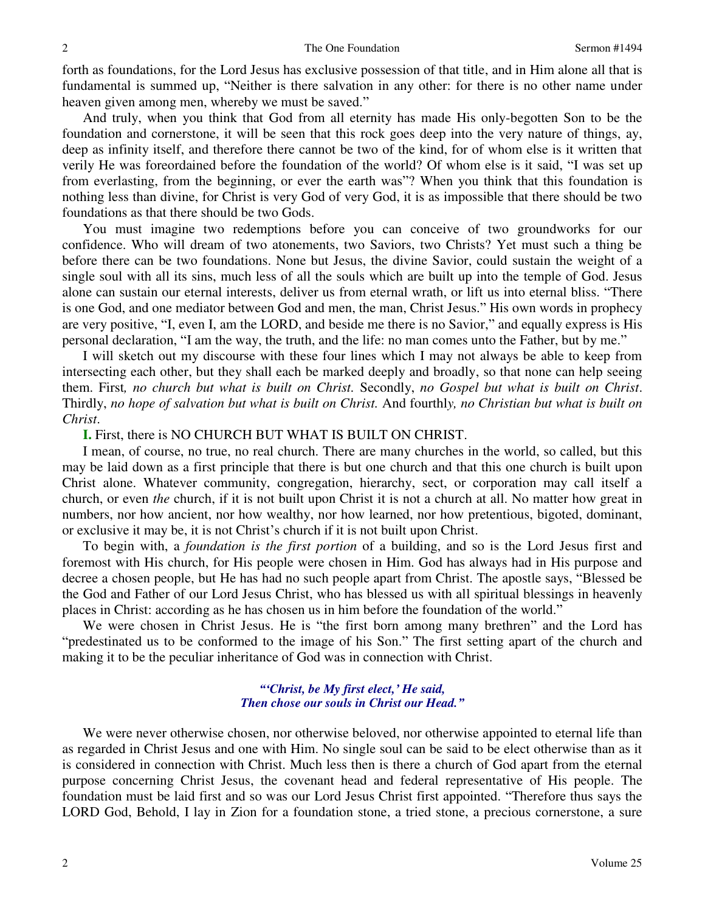forth as foundations, for the Lord Jesus has exclusive possession of that title, and in Him alone all that is fundamental is summed up, "Neither is there salvation in any other: for there is no other name under heaven given among men, whereby we must be saved."

 And truly, when you think that God from all eternity has made His only-begotten Son to be the foundation and cornerstone, it will be seen that this rock goes deep into the very nature of things, ay, deep as infinity itself, and therefore there cannot be two of the kind, for of whom else is it written that verily He was foreordained before the foundation of the world? Of whom else is it said, "I was set up from everlasting, from the beginning, or ever the earth was"? When you think that this foundation is nothing less than divine, for Christ is very God of very God, it is as impossible that there should be two foundations as that there should be two Gods.

 You must imagine two redemptions before you can conceive of two groundworks for our confidence. Who will dream of two atonements, two Saviors, two Christs? Yet must such a thing be before there can be two foundations. None but Jesus, the divine Savior, could sustain the weight of a single soul with all its sins, much less of all the souls which are built up into the temple of God. Jesus alone can sustain our eternal interests, deliver us from eternal wrath, or lift us into eternal bliss. "There is one God, and one mediator between God and men, the man, Christ Jesus." His own words in prophecy are very positive, "I, even I, am the LORD, and beside me there is no Savior," and equally express is His personal declaration, "I am the way, the truth, and the life: no man comes unto the Father, but by me."

 I will sketch out my discourse with these four lines which I may not always be able to keep from intersecting each other, but they shall each be marked deeply and broadly, so that none can help seeing them. First*, no church but what is built on Christ.* Secondly, *no Gospel but what is built on Christ*. Thirdly, *no hope of salvation but what is built on Christ.* And fourthl*y, no Christian but what is built on Christ*.

### **I.** First, there is NO CHURCH BUT WHAT IS BUILT ON CHRIST.

 I mean, of course, no true, no real church. There are many churches in the world, so called, but this may be laid down as a first principle that there is but one church and that this one church is built upon Christ alone. Whatever community, congregation, hierarchy, sect, or corporation may call itself a church, or even *the* church, if it is not built upon Christ it is not a church at all. No matter how great in numbers, nor how ancient, nor how wealthy, nor how learned, nor how pretentious, bigoted, dominant, or exclusive it may be, it is not Christ's church if it is not built upon Christ.

 To begin with, a *foundation is the first portion* of a building, and so is the Lord Jesus first and foremost with His church, for His people were chosen in Him. God has always had in His purpose and decree a chosen people, but He has had no such people apart from Christ. The apostle says, "Blessed be the God and Father of our Lord Jesus Christ, who has blessed us with all spiritual blessings in heavenly places in Christ: according as he has chosen us in him before the foundation of the world."

 We were chosen in Christ Jesus. He is "the first born among many brethren" and the Lord has "predestinated us to be conformed to the image of his Son." The first setting apart of the church and making it to be the peculiar inheritance of God was in connection with Christ.

### *"'Christ, be My first elect,' He said, Then chose our souls in Christ our Head."*

We were never otherwise chosen, nor otherwise beloved, nor otherwise appointed to eternal life than as regarded in Christ Jesus and one with Him. No single soul can be said to be elect otherwise than as it is considered in connection with Christ. Much less then is there a church of God apart from the eternal purpose concerning Christ Jesus, the covenant head and federal representative of His people. The foundation must be laid first and so was our Lord Jesus Christ first appointed. "Therefore thus says the LORD God, Behold, I lay in Zion for a foundation stone, a tried stone, a precious cornerstone, a sure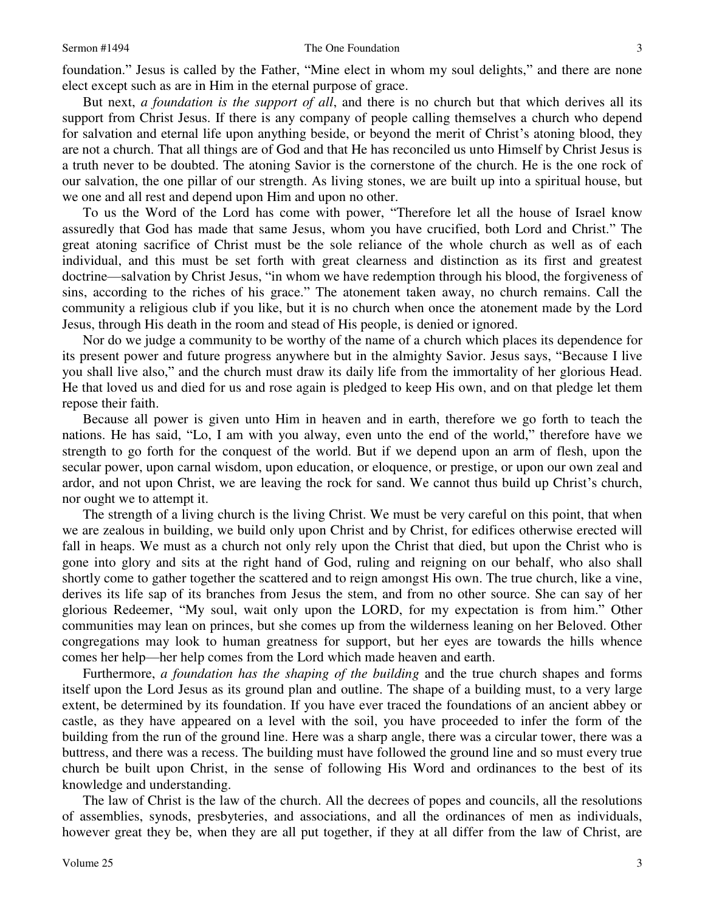foundation." Jesus is called by the Father, "Mine elect in whom my soul delights," and there are none elect except such as are in Him in the eternal purpose of grace.

 But next, *a foundation is the support of all*, and there is no church but that which derives all its support from Christ Jesus. If there is any company of people calling themselves a church who depend for salvation and eternal life upon anything beside, or beyond the merit of Christ's atoning blood, they are not a church. That all things are of God and that He has reconciled us unto Himself by Christ Jesus is a truth never to be doubted. The atoning Savior is the cornerstone of the church. He is the one rock of our salvation, the one pillar of our strength. As living stones, we are built up into a spiritual house, but we one and all rest and depend upon Him and upon no other.

 To us the Word of the Lord has come with power, "Therefore let all the house of Israel know assuredly that God has made that same Jesus, whom you have crucified, both Lord and Christ." The great atoning sacrifice of Christ must be the sole reliance of the whole church as well as of each individual, and this must be set forth with great clearness and distinction as its first and greatest doctrine—salvation by Christ Jesus, "in whom we have redemption through his blood, the forgiveness of sins, according to the riches of his grace." The atonement taken away, no church remains. Call the community a religious club if you like, but it is no church when once the atonement made by the Lord Jesus, through His death in the room and stead of His people, is denied or ignored.

 Nor do we judge a community to be worthy of the name of a church which places its dependence for its present power and future progress anywhere but in the almighty Savior. Jesus says, "Because I live you shall live also," and the church must draw its daily life from the immortality of her glorious Head. He that loved us and died for us and rose again is pledged to keep His own, and on that pledge let them repose their faith.

 Because all power is given unto Him in heaven and in earth, therefore we go forth to teach the nations. He has said, "Lo, I am with you alway, even unto the end of the world," therefore have we strength to go forth for the conquest of the world. But if we depend upon an arm of flesh, upon the secular power, upon carnal wisdom, upon education, or eloquence, or prestige, or upon our own zeal and ardor, and not upon Christ, we are leaving the rock for sand. We cannot thus build up Christ's church, nor ought we to attempt it.

 The strength of a living church is the living Christ. We must be very careful on this point, that when we are zealous in building, we build only upon Christ and by Christ, for edifices otherwise erected will fall in heaps. We must as a church not only rely upon the Christ that died, but upon the Christ who is gone into glory and sits at the right hand of God, ruling and reigning on our behalf, who also shall shortly come to gather together the scattered and to reign amongst His own. The true church, like a vine, derives its life sap of its branches from Jesus the stem, and from no other source. She can say of her glorious Redeemer, "My soul, wait only upon the LORD, for my expectation is from him." Other communities may lean on princes, but she comes up from the wilderness leaning on her Beloved. Other congregations may look to human greatness for support, but her eyes are towards the hills whence comes her help—her help comes from the Lord which made heaven and earth.

 Furthermore, *a foundation has the shaping of the building* and the true church shapes and forms itself upon the Lord Jesus as its ground plan and outline. The shape of a building must, to a very large extent, be determined by its foundation. If you have ever traced the foundations of an ancient abbey or castle, as they have appeared on a level with the soil, you have proceeded to infer the form of the building from the run of the ground line. Here was a sharp angle, there was a circular tower, there was a buttress, and there was a recess. The building must have followed the ground line and so must every true church be built upon Christ, in the sense of following His Word and ordinances to the best of its knowledge and understanding.

 The law of Christ is the law of the church. All the decrees of popes and councils, all the resolutions of assemblies, synods, presbyteries, and associations, and all the ordinances of men as individuals, however great they be, when they are all put together, if they at all differ from the law of Christ, are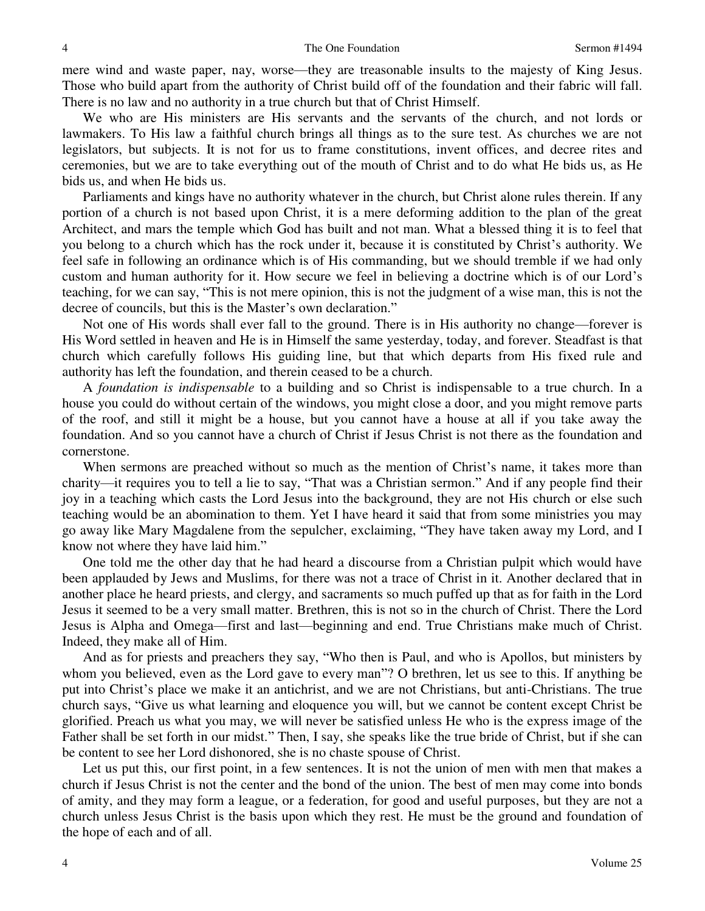mere wind and waste paper, nay, worse—they are treasonable insults to the majesty of King Jesus. Those who build apart from the authority of Christ build off of the foundation and their fabric will fall. There is no law and no authority in a true church but that of Christ Himself.

 We who are His ministers are His servants and the servants of the church, and not lords or lawmakers. To His law a faithful church brings all things as to the sure test. As churches we are not legislators, but subjects. It is not for us to frame constitutions, invent offices, and decree rites and ceremonies, but we are to take everything out of the mouth of Christ and to do what He bids us, as He bids us, and when He bids us.

 Parliaments and kings have no authority whatever in the church, but Christ alone rules therein. If any portion of a church is not based upon Christ, it is a mere deforming addition to the plan of the great Architect, and mars the temple which God has built and not man. What a blessed thing it is to feel that you belong to a church which has the rock under it, because it is constituted by Christ's authority. We feel safe in following an ordinance which is of His commanding, but we should tremble if we had only custom and human authority for it. How secure we feel in believing a doctrine which is of our Lord's teaching, for we can say, "This is not mere opinion, this is not the judgment of a wise man, this is not the decree of councils, but this is the Master's own declaration."

 Not one of His words shall ever fall to the ground. There is in His authority no change—forever is His Word settled in heaven and He is in Himself the same yesterday, today, and forever. Steadfast is that church which carefully follows His guiding line, but that which departs from His fixed rule and authority has left the foundation, and therein ceased to be a church.

A *foundation is indispensable* to a building and so Christ is indispensable to a true church. In a house you could do without certain of the windows, you might close a door, and you might remove parts of the roof, and still it might be a house, but you cannot have a house at all if you take away the foundation. And so you cannot have a church of Christ if Jesus Christ is not there as the foundation and cornerstone.

When sermons are preached without so much as the mention of Christ's name, it takes more than charity—it requires you to tell a lie to say, "That was a Christian sermon." And if any people find their joy in a teaching which casts the Lord Jesus into the background, they are not His church or else such teaching would be an abomination to them. Yet I have heard it said that from some ministries you may go away like Mary Magdalene from the sepulcher, exclaiming, "They have taken away my Lord, and I know not where they have laid him."

 One told me the other day that he had heard a discourse from a Christian pulpit which would have been applauded by Jews and Muslims, for there was not a trace of Christ in it. Another declared that in another place he heard priests, and clergy, and sacraments so much puffed up that as for faith in the Lord Jesus it seemed to be a very small matter. Brethren, this is not so in the church of Christ. There the Lord Jesus is Alpha and Omega—first and last—beginning and end. True Christians make much of Christ. Indeed, they make all of Him.

 And as for priests and preachers they say, "Who then is Paul, and who is Apollos, but ministers by whom you believed, even as the Lord gave to every man"? O brethren, let us see to this. If anything be put into Christ's place we make it an antichrist, and we are not Christians, but anti-Christians. The true church says, "Give us what learning and eloquence you will, but we cannot be content except Christ be glorified. Preach us what you may, we will never be satisfied unless He who is the express image of the Father shall be set forth in our midst." Then, I say, she speaks like the true bride of Christ, but if she can be content to see her Lord dishonored, she is no chaste spouse of Christ.

Let us put this, our first point, in a few sentences. It is not the union of men with men that makes a church if Jesus Christ is not the center and the bond of the union. The best of men may come into bonds of amity, and they may form a league, or a federation, for good and useful purposes, but they are not a church unless Jesus Christ is the basis upon which they rest. He must be the ground and foundation of the hope of each and of all.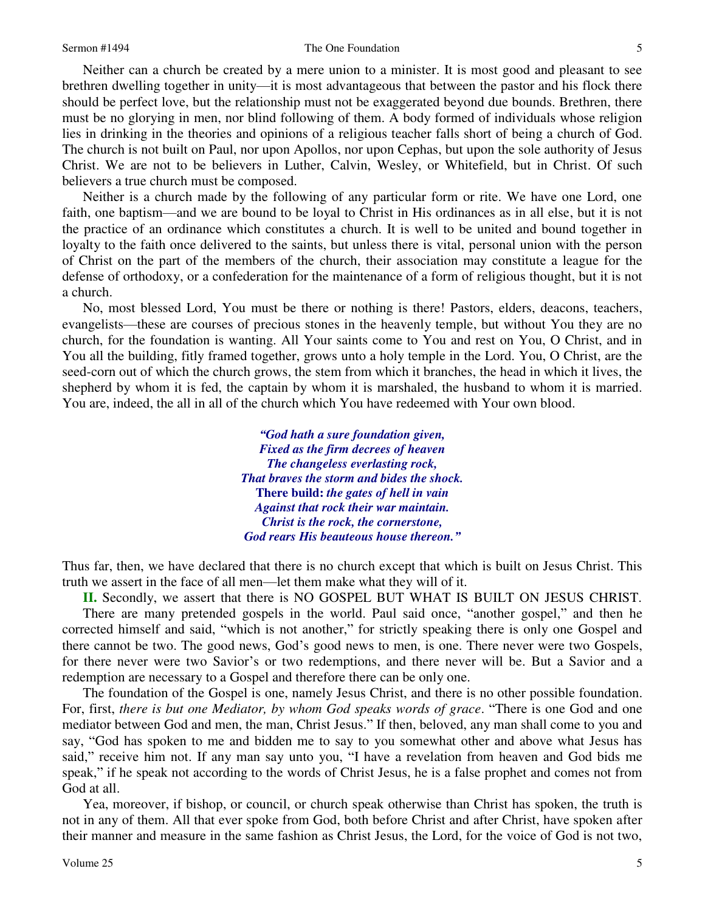#### Sermon #1494 The One Foundation

 Neither can a church be created by a mere union to a minister. It is most good and pleasant to see brethren dwelling together in unity—it is most advantageous that between the pastor and his flock there should be perfect love, but the relationship must not be exaggerated beyond due bounds. Brethren, there must be no glorying in men, nor blind following of them. A body formed of individuals whose religion lies in drinking in the theories and opinions of a religious teacher falls short of being a church of God. The church is not built on Paul, nor upon Apollos, nor upon Cephas, but upon the sole authority of Jesus Christ. We are not to be believers in Luther, Calvin, Wesley, or Whitefield, but in Christ. Of such believers a true church must be composed.

Neither is a church made by the following of any particular form or rite. We have one Lord, one faith, one baptism—and we are bound to be loyal to Christ in His ordinances as in all else, but it is not the practice of an ordinance which constitutes a church. It is well to be united and bound together in loyalty to the faith once delivered to the saints, but unless there is vital, personal union with the person of Christ on the part of the members of the church, their association may constitute a league for the defense of orthodoxy, or a confederation for the maintenance of a form of religious thought, but it is not a church.

 No, most blessed Lord, You must be there or nothing is there! Pastors, elders, deacons, teachers, evangelists—these are courses of precious stones in the heavenly temple, but without You they are no church, for the foundation is wanting. All Your saints come to You and rest on You, O Christ, and in You all the building, fitly framed together, grows unto a holy temple in the Lord. You, O Christ, are the seed-corn out of which the church grows, the stem from which it branches, the head in which it lives, the shepherd by whom it is fed, the captain by whom it is marshaled, the husband to whom it is married. You are, indeed, the all in all of the church which You have redeemed with Your own blood.

> *"God hath a sure foundation given, Fixed as the firm decrees of heaven The changeless everlasting rock, That braves the storm and bides the shock.*  **There build:** *the gates of hell in vain Against that rock their war maintain. Christ is the rock, the cornerstone, God rears His beauteous house thereon."*

Thus far, then, we have declared that there is no church except that which is built on Jesus Christ. This truth we assert in the face of all men—let them make what they will of it.

**II.** Secondly, we assert that there is NO GOSPEL BUT WHAT IS BUILT ON JESUS CHRIST. There are many pretended gospels in the world. Paul said once, "another gospel," and then he corrected himself and said, "which is not another," for strictly speaking there is only one Gospel and there cannot be two. The good news, God's good news to men, is one. There never were two Gospels, for there never were two Savior's or two redemptions, and there never will be. But a Savior and a redemption are necessary to a Gospel and therefore there can be only one.

 The foundation of the Gospel is one, namely Jesus Christ, and there is no other possible foundation. For, first, *there is but one Mediator, by whom God speaks words of grace*. "There is one God and one mediator between God and men, the man, Christ Jesus." If then, beloved, any man shall come to you and say, "God has spoken to me and bidden me to say to you somewhat other and above what Jesus has said," receive him not. If any man say unto you, "I have a revelation from heaven and God bids me speak," if he speak not according to the words of Christ Jesus, he is a false prophet and comes not from God at all.

Yea, moreover, if bishop, or council, or church speak otherwise than Christ has spoken, the truth is not in any of them. All that ever spoke from God, both before Christ and after Christ, have spoken after their manner and measure in the same fashion as Christ Jesus, the Lord, for the voice of God is not two,

5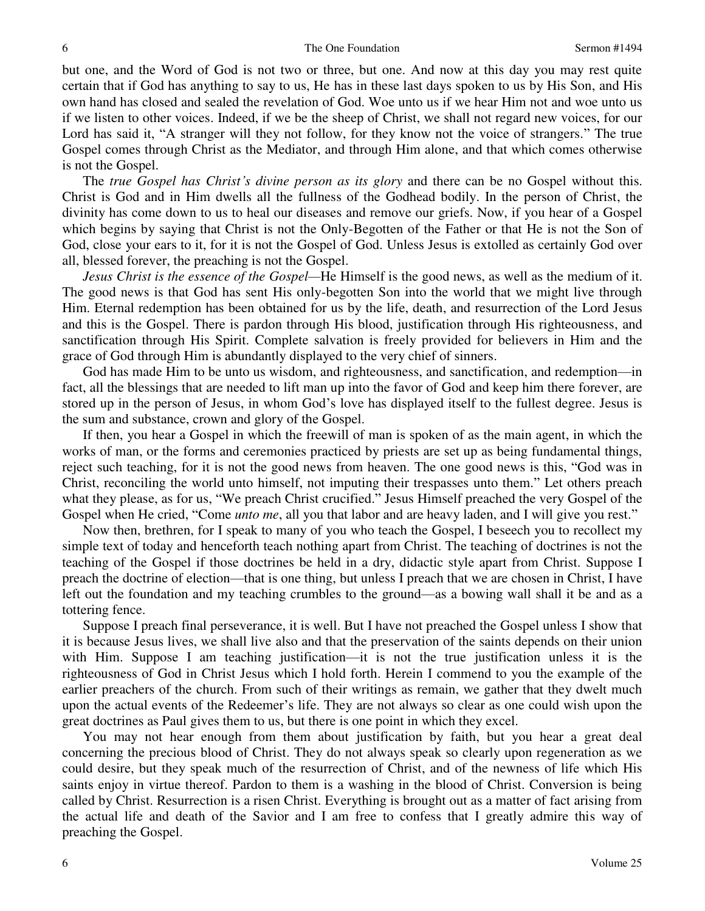but one, and the Word of God is not two or three, but one. And now at this day you may rest quite certain that if God has anything to say to us, He has in these last days spoken to us by His Son, and His own hand has closed and sealed the revelation of God. Woe unto us if we hear Him not and woe unto us if we listen to other voices. Indeed, if we be the sheep of Christ, we shall not regard new voices, for our Lord has said it, "A stranger will they not follow, for they know not the voice of strangers." The true Gospel comes through Christ as the Mediator, and through Him alone, and that which comes otherwise is not the Gospel.

 The *true Gospel has Christ's divine person as its glory* and there can be no Gospel without this. Christ is God and in Him dwells all the fullness of the Godhead bodily. In the person of Christ, the divinity has come down to us to heal our diseases and remove our griefs. Now, if you hear of a Gospel which begins by saying that Christ is not the Only-Begotten of the Father or that He is not the Son of God, close your ears to it, for it is not the Gospel of God. Unless Jesus is extolled as certainly God over all, blessed forever, the preaching is not the Gospel.

*Jesus Christ is the essence of the Gospel—*He Himself is the good news, as well as the medium of it. The good news is that God has sent His only-begotten Son into the world that we might live through Him. Eternal redemption has been obtained for us by the life, death, and resurrection of the Lord Jesus and this is the Gospel. There is pardon through His blood, justification through His righteousness, and sanctification through His Spirit. Complete salvation is freely provided for believers in Him and the grace of God through Him is abundantly displayed to the very chief of sinners.

 God has made Him to be unto us wisdom, and righteousness, and sanctification, and redemption—in fact, all the blessings that are needed to lift man up into the favor of God and keep him there forever, are stored up in the person of Jesus, in whom God's love has displayed itself to the fullest degree. Jesus is the sum and substance, crown and glory of the Gospel.

 If then, you hear a Gospel in which the freewill of man is spoken of as the main agent, in which the works of man, or the forms and ceremonies practiced by priests are set up as being fundamental things, reject such teaching, for it is not the good news from heaven. The one good news is this, "God was in Christ, reconciling the world unto himself, not imputing their trespasses unto them." Let others preach what they please, as for us, "We preach Christ crucified." Jesus Himself preached the very Gospel of the Gospel when He cried, "Come *unto me*, all you that labor and are heavy laden, and I will give you rest."

 Now then, brethren, for I speak to many of you who teach the Gospel, I beseech you to recollect my simple text of today and henceforth teach nothing apart from Christ. The teaching of doctrines is not the teaching of the Gospel if those doctrines be held in a dry, didactic style apart from Christ. Suppose I preach the doctrine of election—that is one thing, but unless I preach that we are chosen in Christ, I have left out the foundation and my teaching crumbles to the ground—as a bowing wall shall it be and as a tottering fence.

 Suppose I preach final perseverance, it is well. But I have not preached the Gospel unless I show that it is because Jesus lives, we shall live also and that the preservation of the saints depends on their union with Him. Suppose I am teaching justification—it is not the true justification unless it is the righteousness of God in Christ Jesus which I hold forth. Herein I commend to you the example of the earlier preachers of the church. From such of their writings as remain, we gather that they dwelt much upon the actual events of the Redeemer's life. They are not always so clear as one could wish upon the great doctrines as Paul gives them to us, but there is one point in which they excel.

 You may not hear enough from them about justification by faith, but you hear a great deal concerning the precious blood of Christ. They do not always speak so clearly upon regeneration as we could desire, but they speak much of the resurrection of Christ, and of the newness of life which His saints enjoy in virtue thereof. Pardon to them is a washing in the blood of Christ. Conversion is being called by Christ. Resurrection is a risen Christ. Everything is brought out as a matter of fact arising from the actual life and death of the Savior and I am free to confess that I greatly admire this way of preaching the Gospel.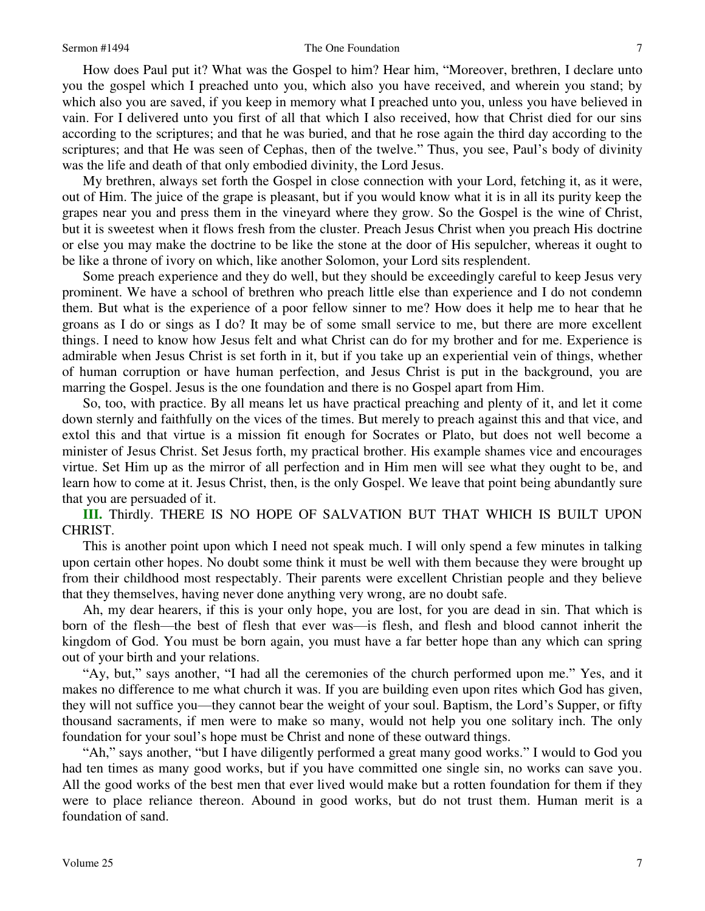### Sermon #1494 The One Foundation

 How does Paul put it? What was the Gospel to him? Hear him, "Moreover, brethren, I declare unto you the gospel which I preached unto you, which also you have received, and wherein you stand; by which also you are saved, if you keep in memory what I preached unto you, unless you have believed in vain. For I delivered unto you first of all that which I also received, how that Christ died for our sins according to the scriptures; and that he was buried, and that he rose again the third day according to the scriptures; and that He was seen of Cephas, then of the twelve." Thus, you see, Paul's body of divinity was the life and death of that only embodied divinity, the Lord Jesus.

 My brethren, always set forth the Gospel in close connection with your Lord, fetching it, as it were, out of Him. The juice of the grape is pleasant, but if you would know what it is in all its purity keep the grapes near you and press them in the vineyard where they grow. So the Gospel is the wine of Christ, but it is sweetest when it flows fresh from the cluster. Preach Jesus Christ when you preach His doctrine or else you may make the doctrine to be like the stone at the door of His sepulcher, whereas it ought to be like a throne of ivory on which, like another Solomon, your Lord sits resplendent.

 Some preach experience and they do well, but they should be exceedingly careful to keep Jesus very prominent. We have a school of brethren who preach little else than experience and I do not condemn them. But what is the experience of a poor fellow sinner to me? How does it help me to hear that he groans as I do or sings as I do? It may be of some small service to me, but there are more excellent things. I need to know how Jesus felt and what Christ can do for my brother and for me. Experience is admirable when Jesus Christ is set forth in it, but if you take up an experiential vein of things, whether of human corruption or have human perfection, and Jesus Christ is put in the background, you are marring the Gospel. Jesus is the one foundation and there is no Gospel apart from Him.

 So, too, with practice. By all means let us have practical preaching and plenty of it, and let it come down sternly and faithfully on the vices of the times. But merely to preach against this and that vice, and extol this and that virtue is a mission fit enough for Socrates or Plato, but does not well become a minister of Jesus Christ. Set Jesus forth, my practical brother. His example shames vice and encourages virtue. Set Him up as the mirror of all perfection and in Him men will see what they ought to be, and learn how to come at it. Jesus Christ, then, is the only Gospel. We leave that point being abundantly sure that you are persuaded of it.

**III.** Thirdly. THERE IS NO HOPE OF SALVATION BUT THAT WHICH IS BUILT UPON CHRIST.

 This is another point upon which I need not speak much. I will only spend a few minutes in talking upon certain other hopes. No doubt some think it must be well with them because they were brought up from their childhood most respectably. Their parents were excellent Christian people and they believe that they themselves, having never done anything very wrong, are no doubt safe.

 Ah, my dear hearers, if this is your only hope, you are lost, for you are dead in sin. That which is born of the flesh—the best of flesh that ever was—is flesh, and flesh and blood cannot inherit the kingdom of God. You must be born again, you must have a far better hope than any which can spring out of your birth and your relations.

"Ay, but," says another, "I had all the ceremonies of the church performed upon me." Yes, and it makes no difference to me what church it was. If you are building even upon rites which God has given, they will not suffice you—they cannot bear the weight of your soul. Baptism, the Lord's Supper, or fifty thousand sacraments, if men were to make so many, would not help you one solitary inch. The only foundation for your soul's hope must be Christ and none of these outward things.

"Ah," says another, "but I have diligently performed a great many good works." I would to God you had ten times as many good works, but if you have committed one single sin, no works can save you. All the good works of the best men that ever lived would make but a rotten foundation for them if they were to place reliance thereon. Abound in good works, but do not trust them. Human merit is a foundation of sand.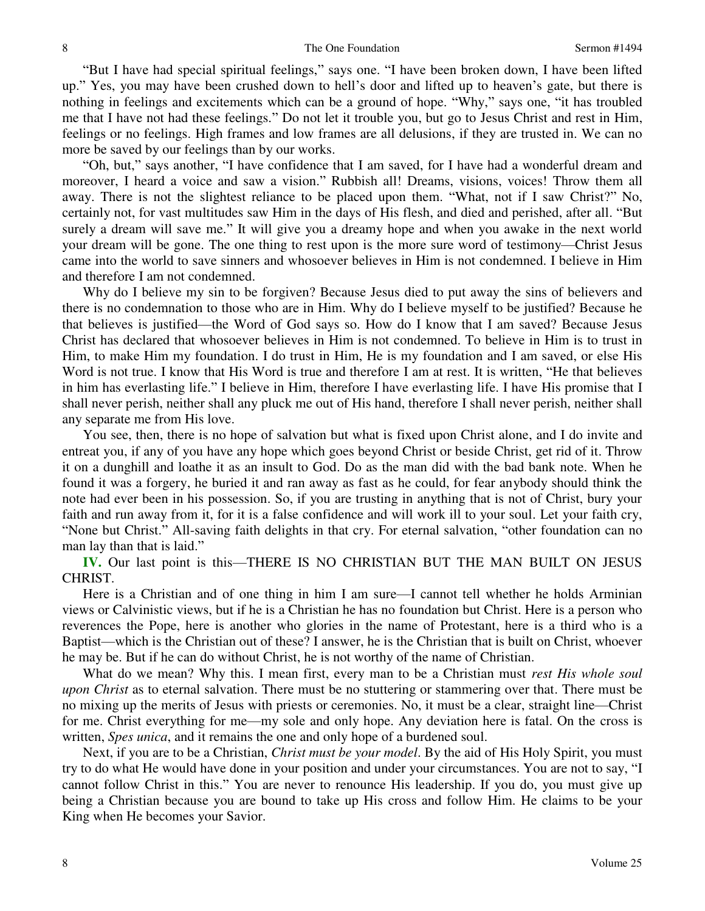"But I have had special spiritual feelings," says one. "I have been broken down, I have been lifted up." Yes, you may have been crushed down to hell's door and lifted up to heaven's gate, but there is nothing in feelings and excitements which can be a ground of hope. "Why," says one, "it has troubled me that I have not had these feelings." Do not let it trouble you, but go to Jesus Christ and rest in Him, feelings or no feelings. High frames and low frames are all delusions, if they are trusted in. We can no more be saved by our feelings than by our works.

"Oh, but," says another, "I have confidence that I am saved, for I have had a wonderful dream and moreover, I heard a voice and saw a vision." Rubbish all! Dreams, visions, voices! Throw them all away. There is not the slightest reliance to be placed upon them. "What, not if I saw Christ?" No, certainly not, for vast multitudes saw Him in the days of His flesh, and died and perished, after all. "But surely a dream will save me." It will give you a dreamy hope and when you awake in the next world your dream will be gone. The one thing to rest upon is the more sure word of testimony—Christ Jesus came into the world to save sinners and whosoever believes in Him is not condemned. I believe in Him and therefore I am not condemned.

Why do I believe my sin to be forgiven? Because Jesus died to put away the sins of believers and there is no condemnation to those who are in Him. Why do I believe myself to be justified? Because he that believes is justified—the Word of God says so. How do I know that I am saved? Because Jesus Christ has declared that whosoever believes in Him is not condemned. To believe in Him is to trust in Him, to make Him my foundation. I do trust in Him, He is my foundation and I am saved, or else His Word is not true. I know that His Word is true and therefore I am at rest. It is written, "He that believes" in him has everlasting life." I believe in Him, therefore I have everlasting life. I have His promise that I shall never perish, neither shall any pluck me out of His hand, therefore I shall never perish, neither shall any separate me from His love.

 You see, then, there is no hope of salvation but what is fixed upon Christ alone, and I do invite and entreat you, if any of you have any hope which goes beyond Christ or beside Christ, get rid of it. Throw it on a dunghill and loathe it as an insult to God. Do as the man did with the bad bank note. When he found it was a forgery, he buried it and ran away as fast as he could, for fear anybody should think the note had ever been in his possession. So, if you are trusting in anything that is not of Christ, bury your faith and run away from it, for it is a false confidence and will work ill to your soul. Let your faith cry, "None but Christ." All-saving faith delights in that cry. For eternal salvation, "other foundation can no man lay than that is laid."

**IV.** Our last point is this—THERE IS NO CHRISTIAN BUT THE MAN BUILT ON JESUS CHRIST.

 Here is a Christian and of one thing in him I am sure—I cannot tell whether he holds Arminian views or Calvinistic views, but if he is a Christian he has no foundation but Christ. Here is a person who reverences the Pope, here is another who glories in the name of Protestant, here is a third who is a Baptist—which is the Christian out of these? I answer, he is the Christian that is built on Christ, whoever he may be. But if he can do without Christ, he is not worthy of the name of Christian.

 What do we mean? Why this. I mean first, every man to be a Christian must *rest His whole soul upon Christ* as to eternal salvation. There must be no stuttering or stammering over that. There must be no mixing up the merits of Jesus with priests or ceremonies. No, it must be a clear, straight line—Christ for me. Christ everything for me—my sole and only hope. Any deviation here is fatal. On the cross is written, *Spes unica*, and it remains the one and only hope of a burdened soul.

 Next, if you are to be a Christian, *Christ must be your model*. By the aid of His Holy Spirit, you must try to do what He would have done in your position and under your circumstances. You are not to say, "I cannot follow Christ in this." You are never to renounce His leadership. If you do, you must give up being a Christian because you are bound to take up His cross and follow Him. He claims to be your King when He becomes your Savior.